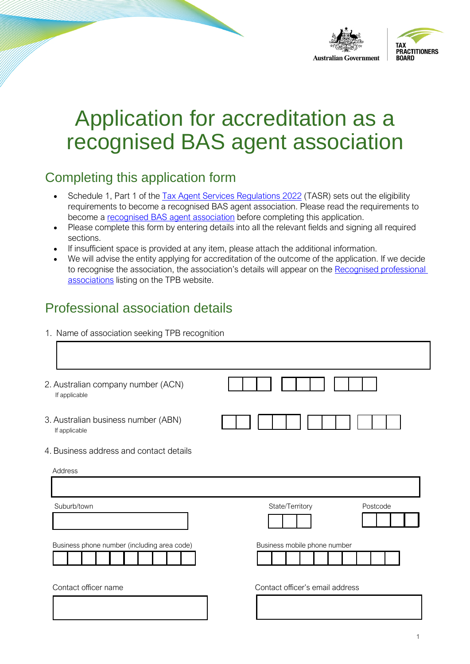

# Application for accreditation as a recognised BAS agent association

# Completing this application form

- Schedule 1, Part 1 of the [Tax Agent Services Regulations 2022](https://www.legislation.gov.au/Details/F2022L00238) (TASR) sets out the eligibility requirements to become a recognised BAS agent association. Please read the requirements to become a [recognised BAS agent association](https://www.tpb.gov.au/recognised-bas-agent-association) before completing this application.
- Please complete this form by entering details into all the relevant fields and signing all required sections.
- If insufficient space is provided at any item, please attach the additional information.
- We will advise the entity applying for accreditation of the outcome of the application. If we decide to recognise the association, the association's details will appear on the [Recognised professional](https://www.tpb.gov.au/recognised-professional-associations)  [associations](https://www.tpb.gov.au/recognised-professional-associations) listing on the TPB website.

## Professional association details

1. Name of association seeking TPB recognition

| 2. Australian company number (ACN)<br>If applicable  |                                 |
|------------------------------------------------------|---------------------------------|
| 3. Australian business number (ABN)<br>If applicable |                                 |
| 4. Business address and contact details              |                                 |
| Address                                              |                                 |
|                                                      |                                 |
| Suburb/town                                          | State/Territory<br>Postcode     |
|                                                      |                                 |
| Business phone number (including area code)          | Business mobile phone number    |
| Contact officer name                                 | Contact officer's email address |
|                                                      |                                 |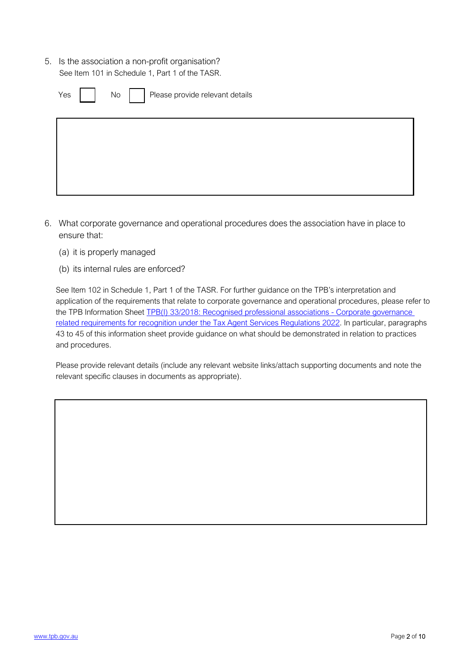5. Is the association a non-profit organisation? See Item 101 in Schedule 1, Part 1 of the TASR.

| Yes   No   Please provide relevant details |  |  |  |  |  |
|--------------------------------------------|--|--|--|--|--|
|                                            |  |  |  |  |  |
|                                            |  |  |  |  |  |

- 6. What corporate governance and operational procedures does the association have in place to ensure that:
	- (a) it is properly managed
	- (b) its internal rules are enforced?

See Item 102 in Schedule 1, Part 1 of the TASR. For further guidance on the TPB's interpretation and application of the requirements that relate to corporate governance and operational procedures, please refer to the TPB Information Sheet TPB(I) 33/2018: Recognised professional associations - Corporate governance related requiremen[ts for recognition under the Tax Agent Services Regulations 2022](https://www.tpb.gov.au/tpbi-332018-recognised-professional-associations-corporate-governance-related-requirements). In particular, paragraphs 43 to 45 of this information sheet provide guidance on what should be demonstrated in relation to practices and procedures.

Please provide relevant details (include any relevant website links/attach supporting documents and note the relevant specific clauses in documents as appropriate).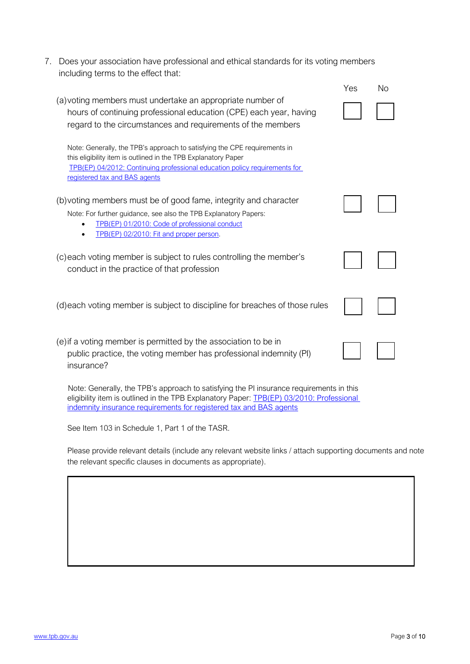7. Does your association have professional and ethical standards for its voting members including terms to the effect that:

| (a) voting members must undertake an appropriate number of<br>hours of continuing professional education (CPE) each year, having<br>regard to the circumstances and requirements of the members                                                                  |  | No |  |
|------------------------------------------------------------------------------------------------------------------------------------------------------------------------------------------------------------------------------------------------------------------|--|----|--|
| Note: Generally, the TPB's approach to satisfying the CPE requirements in<br>this eligibility item is outlined in the TPB Explanatory Paper<br>TPB(EP) 04/2012: Continuing professional education policy requirements for<br>registered tax and BAS agents       |  |    |  |
| (b) voting members must be of good fame, integrity and character<br>Note: For further guidance, see also the TPB Explanatory Papers:<br>TPB(EP) 01/2010: Code of professional conduct<br>TPB(EP) 02/2010: Fit and proper person.                                 |  |    |  |
| (c) each voting member is subject to rules controlling the member's<br>conduct in the practice of that profession                                                                                                                                                |  |    |  |
| (d) each voting member is subject to discipline for breaches of those rules                                                                                                                                                                                      |  |    |  |
| (e) if a voting member is permitted by the association to be in<br>public practice, the voting member has professional indemnity (PI)<br>insurance?                                                                                                              |  |    |  |
| Note: Generally, the TPB's approach to satisfying the PI insurance requirements in this<br>eligibility item is outlined in the TPB Explanatory Paper: <b>IPB(EP)</b> 03/2010: Professional<br>indemnity insurance requirements for registered tax and BAS agents |  |    |  |

See Item 103 in Schedule 1, Part 1 of the TASR.

Please provide relevant details (include any relevant website links / attach supporting documents and note the relevant specific clauses in documents as appropriate).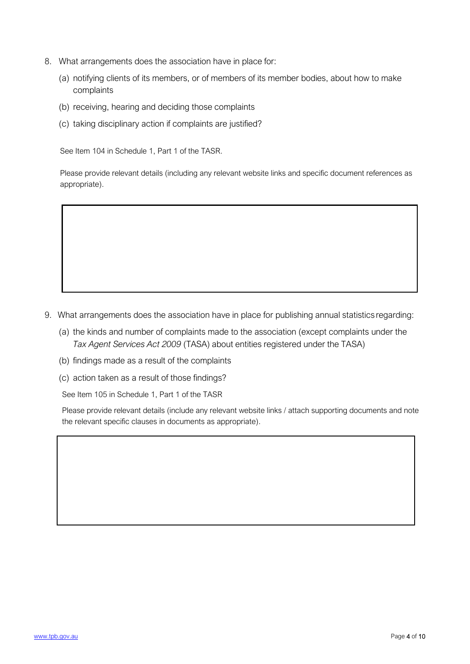- 8. What arrangements does the association have in place for:
	- (a) notifying clients of its members, or of members of its member bodies, about how to make complaints
	- (b) receiving, hearing and deciding those complaints
	- (c) taking disciplinary action if complaints are justified?

See Item 104 in Schedule 1, Part 1 of the TASR.

Please provide relevant details (including any relevant website links and specific document references as appropriate).

- 9. What arrangements does the association have in place for publishing annual statistics regarding:
	- (a) the kinds and number of complaints made to the association (except complaints under the *Tax Agent Services Act 2009* (TASA) about entities registered under the TASA)
	- (b) findings made as a result of the complaints
	- (c) action taken as a result of those findings?

See Item 105 in Schedule 1, Part 1 of the TASR

Please provide relevant details (include any relevant website links / attach supporting documents and note the relevant specific clauses in documents as appropriate).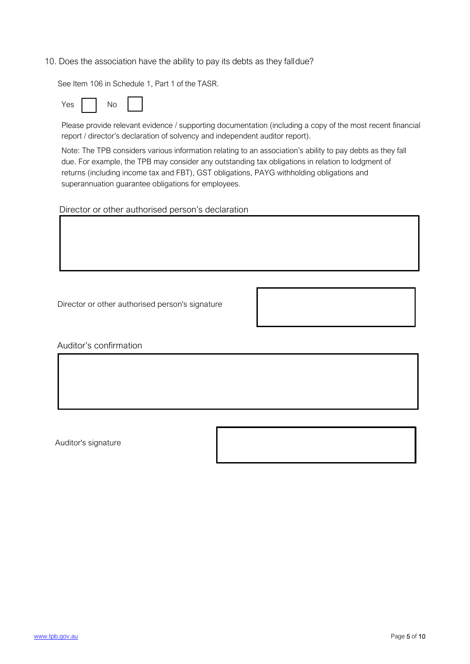#### 10. Does the association have the ability to pay its debts as they fall due?

See Item 106 in Schedule 1, Part 1 of the TASR.

Please provide relevant evidence / supporting documentation (including a copy of the most recent financial report / director's declaration of solvency and independent auditor report).

Note: The TPB considers various information relating to an association's ability to pay debts as they fall due. For example, the TPB may consider any outstanding tax obligations in relation to lodgment of returns (including income tax and FBT), GST obligations, PAYG withholding obligations and superannuation guarantee obligations for employees.

Director or other authorised person's declaration

Director or other authorised person's signature

Auditor's confirmation

Auditor's signature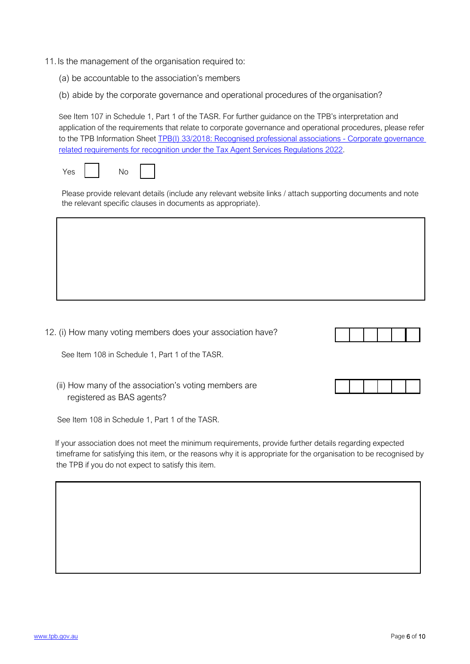- 11. Is the management of the organisation required to:
	- (a) be accountable to the association's members
	- (b) abide by the corporate governance and operational procedures of the organisation?

See Item 107 in Schedule 1, Part 1 of the TASR. For further guidance on the TPB's interpretation and application of the requirements that relate to corporate governance and operational procedures, please refer to the TPB Information Sheet TPB(I) 33/2018: Recognised professional associations - Corporate governance [related requirements for recognition under the Tax Agent Services Regulations 2022.](https://www.tpb.gov.au/tpbi-332018-recognised-professional-associations-corporate-governance-related-requirements)



Please provide relevant details (include any relevant website links / attach supporting documents and note the relevant specific clauses in documents as appropriate).

12. (i) How many voting members does your association have?

See Item 108 in Schedule 1, Part 1 of the TASR.

(ii) How many of the association's voting members are registered as BAS agents?

See Item 108 in Schedule 1, Part 1 of the TASR.

If your association does not meet the minimum requirements, provide further details regarding expected timeframe for satisfying this item, or the reasons why it is appropriate for the organisation to be recognised by the TPB if you do not expect to satisfy this item.



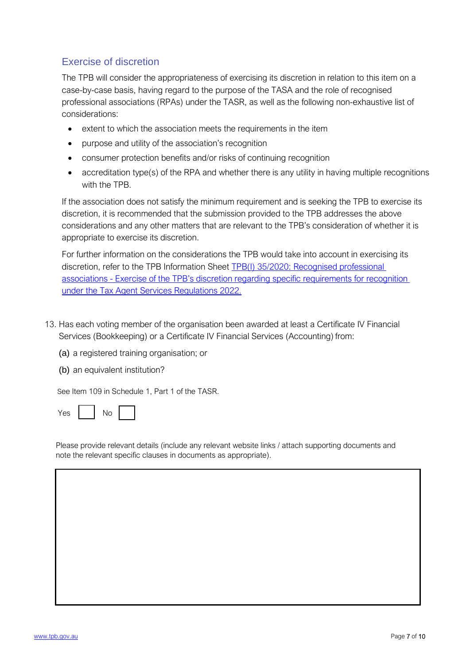#### Exercise of discretion

The TPB will consider the appropriateness of exercising its discretion in relation to this item on a case-by-case basis, having regard to the purpose of the TASA and the role of recognised professional associations (RPAs) under the TASR, as well as the following non-exhaustive list of considerations:

- extent to which the association meets the requirements in the item
- purpose and utility of the association's recognition
- consumer protection benefits and/or risks of continuing recognition
- accreditation type(s) of the RPA and whether there is any utility in having multiple recognitions with the TPB.

If the association does not satisfy the minimum requirement and is seeking the TPB to exercise its discretion, it is recommended that the submission provided to the TPB addresses the above considerations and any other matters that are relevant to the TPB's consideration of whether it is appropriate to exercise its discretion.

For further information on the considerations the TPB would take into account in exercising its discretion, refer to the TPB Information Sheet [TPB\(I\) 35/2020: Recognised professional](https://www.tpb.gov.au/tpbi-352020-recognised-professional-associations-tpb-discretion-regarding-specific-requirements)  [associations - Exercise of the TPB's discretion regarding specific requirements for recognition](https://www.tpb.gov.au/tpbi-352020-recognised-professional-associations-tpb-discretion-regarding-specific-requirements)  [under the Tax Agent Services Regulations 2022](https://www.tpb.gov.au/tpbi-352020-recognised-professional-associations-tpb-discretion-regarding-specific-requirements).

- 13. Has each voting member of the organisation been awarded at least a Certificate IV Financial Services (Bookkeeping) or a Certificate IV Financial Services (Accounting) from:
	- (a) a registered training organisation; or
	- (b) an equivalent institution?

See Item 109 in Schedule 1, Part 1 of the TASR.

| ⋍ |  |  |  |
|---|--|--|--|
|---|--|--|--|

Please provide relevant details (include any relevant website links / attach supporting documents and note the relevant specific clauses in documents as appropriate).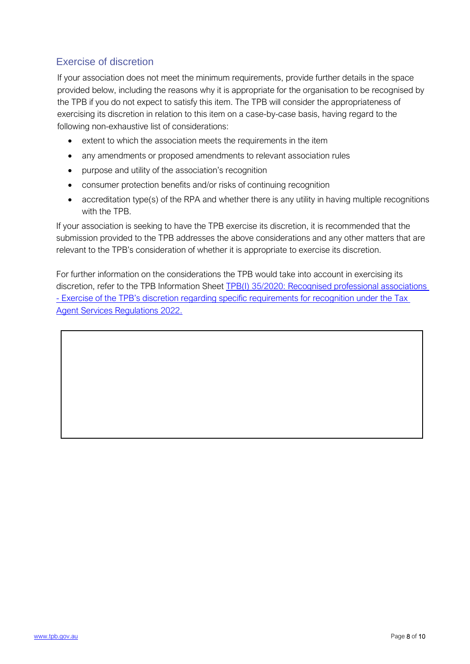#### Exercise of discretion

If your association does not meet the minimum requirements, provide further details in the space provided below, including the reasons why it is appropriate for the organisation to be recognised by the TPB if you do not expect to satisfy this item. The TPB will consider the appropriateness of exercising its discretion in relation to this item on a case-by-case basis, having regard to the following non-exhaustive list of considerations:

- extent to which the association meets the requirements in the item
- any amendments or proposed amendments to relevant association rules
- purpose and utility of the association's recognition
- consumer protection benefits and/or risks of continuing recognition
- accreditation type(s) of the RPA and whether there is any utility in having multiple recognitions with the TPB.

If your association is seeking to have the TPB exercise its discretion, it is recommended that the submission provided to the TPB addresses the above considerations and any other matters that are relevant to the TPB's consideration of whether it is appropriate to exercise its discretion.

For further information on the considerations the TPB would take into account in exercising its discretion, refer to the TPB Information Sheet [TPB\(I\) 35/2020: Recognised professional associations](https://www.tpb.gov.au/tpbi-352020-recognised-professional-associations-tpb-discretion-regarding-specific-requirements)  [- Exercise of the TPB's discretion regarding specific requirements for recognition under the Tax](https://www.tpb.gov.au/tpbi-352020-recognised-professional-associations-tpb-discretion-regarding-specific-requirements)  [Agent Services Regulations 2022.](https://www.tpb.gov.au/tpbi-352020-recognised-professional-associations-tpb-discretion-regarding-specific-requirements)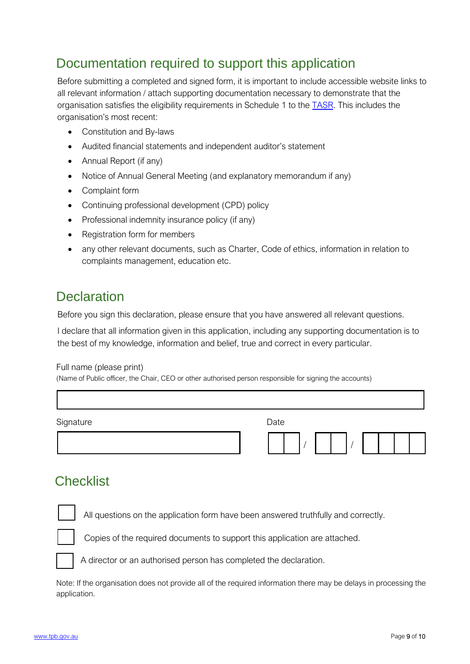# Documentation required to support this application

Before submitting a completed and signed form, it is important to include accessible website links to all relevant information / attach supporting documentation necessary to demonstrate that the organisation satisfies the eligibility requirements in Schedule 1 to the [TASR](https://www.legislation.gov.au/Details/F2022L00238). This includes the organisation's most recent:

- Constitution and By-laws
- Audited financial statements and independent auditor's statement
- Annual Report (if any)
- Notice of Annual General Meeting (and explanatory memorandum if any)
- Complaint form
- Continuing professional development (CPD) policy
- Professional indemnity insurance policy (if any)
- Registration form for members
- any other relevant documents, such as Charter, Code of ethics, information in relation to complaints management, education etc.

#### **Declaration**

Before you sign this declaration, please ensure that you have answered all relevant questions.

I declare that all information given in this application, including any supporting documentation is to the best of my knowledge, information and belief, true and correct in every particular.

#### Full name (please print)

(Name of Public officer, the Chair, CEO or other authorised person responsible for signing the accounts)

| Signature | Date |  |  |  |  |
|-----------|------|--|--|--|--|
|           |      |  |  |  |  |

#### **Checklist**

All questions on the application form have been answered truthfully and correctly.



Copies of the required documents to support this application are attached.

A director or an authorised person has completed the declaration.

Note: If the organisation does not provide all of the required information there may be delays in processing the application.